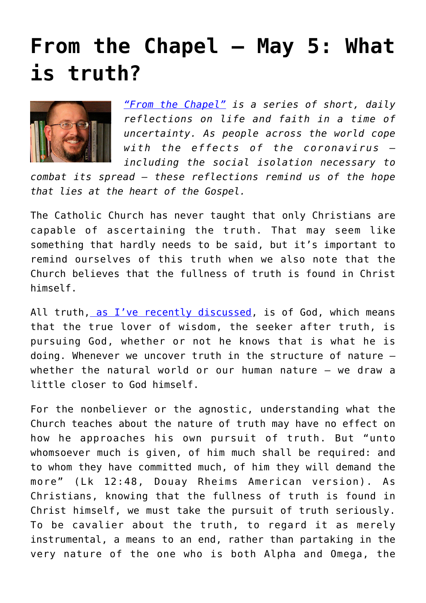## **[From the Chapel — May 5: What](https://www.osvnews.com/2020/05/05/from-the-chapel-may-5-what-is-truth/) [is truth?](https://www.osvnews.com/2020/05/05/from-the-chapel-may-5-what-is-truth/)**



*["From the Chapel"](https://www.osvnews.com/tag/from-the-chapel/) is a series of short, daily reflections on life and faith in a time of uncertainty. As people across the world cope with the effects of the coronavirus including the social isolation necessary to*

*combat its spread — these reflections remind us of the hope that lies at the heart of the Gospel.*

The Catholic Church has never taught that only Christians are capable of ascertaining the truth. That may seem like something that hardly needs to be said, but it's important to remind ourselves of this truth when we also note that the Church believes that the fullness of truth is found in Christ himself.

All truth, [as I've recently discussed,](https://www.osvnews.com/2020/04/28/from-the-chapel-april-28-all-truth-is-gods-truth/) is of God, which means that the true lover of wisdom, the seeker after truth, is pursuing God, whether or not he knows that is what he is doing. Whenever we uncover truth in the structure of nature whether the natural world or our human nature — we draw a little closer to God himself.

For the nonbeliever or the agnostic, understanding what the Church teaches about the nature of truth may have no effect on how he approaches his own pursuit of truth. But "unto whomsoever much is given, of him much shall be required: and to whom they have committed much, of him they will demand the more" (Lk 12:48, Douay Rheims American version). As Christians, knowing that the fullness of truth is found in Christ himself, we must take the pursuit of truth seriously. To be cavalier about the truth, to regard it as merely instrumental, a means to an end, rather than partaking in the very nature of the one who is both Alpha and Omega, the